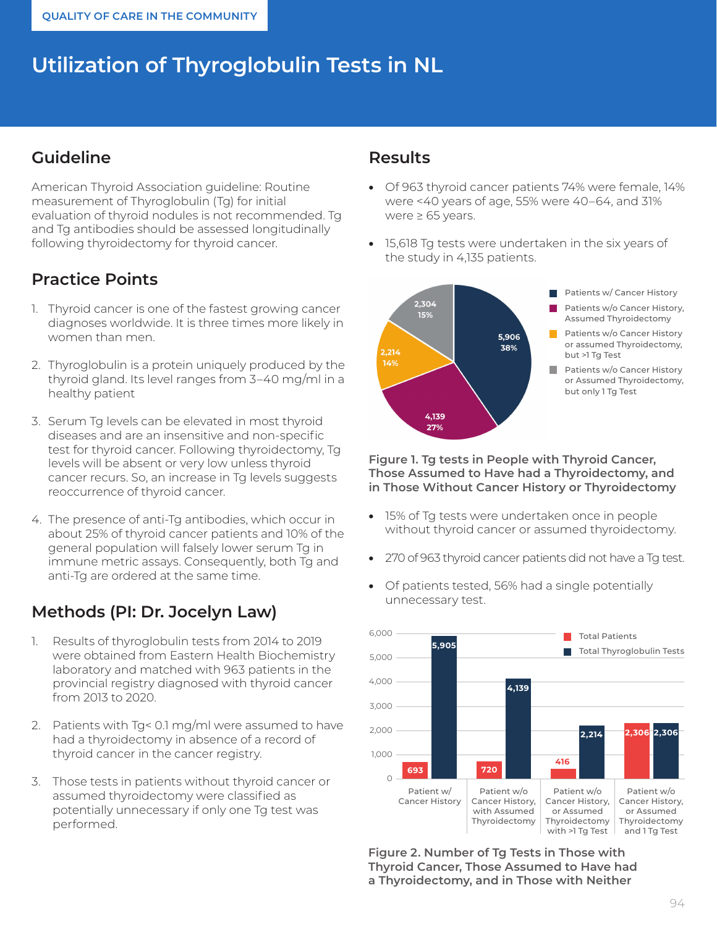# **Utilization of Thyroglobulin Tests in NL**

#### **Guideline**

American Thyroid Association guideline: Routine measurement of Thyroglobulin (Tg) for initial evaluation of thyroid nodules is not recommended. Tg and Tg antibodies should be assessed longitudinally following thyroidectomy for thyroid cancer.

## **Practice Points**

- 1. Thyroid cancer is one of the fastest growing cancer diagnoses worldwide. It is three times more likely in women than men.
- 2. Thyroglobulin is a protein uniquely produced by the thyroid gland. Its level ranges from 3–40 mg/ml in a healthy patient
- 3. Serum Tg levels can be elevated in most thyroid diseases and are an insensitive and non-specific test for thyroid cancer. Following thyroidectomy, Tg levels will be absent or very low unless thyroid cancer recurs. So, an increase in Tg levels suggests reoccurrence of thyroid cancer.
- 4. The presence of anti-Tg antibodies, which occur in about 25% of thyroid cancer patients and 10% of the general population will falsely lower serum Tg in immune metric assays. Consequently, both Tg and anti-Tg are ordered at the same time.

## **Methods (PI: Dr. Jocelyn Law)**

- 1. Results of thyroglobulin tests from 2014 to 2019 were obtained from Eastern Health Biochemistry laboratory and matched with 963 patients in the provincial registry diagnosed with thyroid cancer from 2013 to 2020.
- 2. Patients with Tg< 0.1 mg/ml were assumed to have had a thyroidectomy in absence of a record of thyroid cancer in the cancer registry.
- 3. Those tests in patients without thyroid cancer or assumed thyroidectomy were classified as potentially unnecessary if only one Tg test was performed.

#### **Results**

- Of 963 thyroid cancer patients 74% were female, 14% were <40 years of age, 55% were 40–64, and 31% were ≥ 65 years.
- 15,618 Tg tests were undertaken in the six years of the study in 4,135 patients.



**Figure 1. Tg tests in People with Thyroid Cancer, Those Assumed to Have had a Thyroidectomy, and in Those Without Cancer History or Thyroidectomy**

- 15% of Tg tests were undertaken once in people without thyroid cancer or assumed thyroidectomy.
- 270 of 963 thyroid cancer patients did not have a Tg test.
- Of patients tested, 56% had a single potentially unnecessary test.



**Figure 2. Number of Tg Tests in Those with Thyroid Cancer, Those Assumed to Have had a Thyroidectomy, and in Those with Neither**